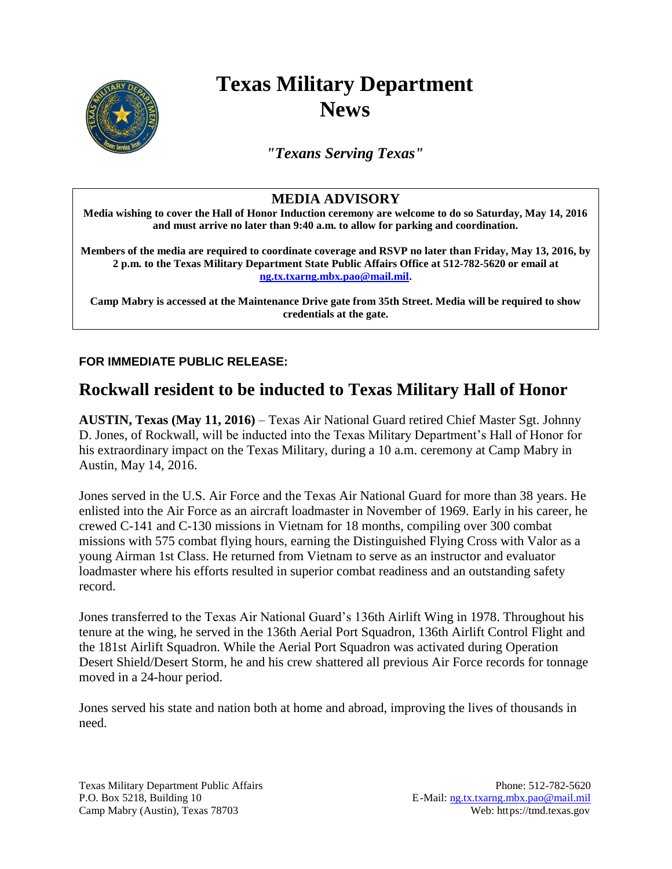

## **Texas Military Department News**

*"Texans Serving Texas"*

## **MEDIA ADVISORY**

**Media wishing to cover the Hall of Honor Induction ceremony are welcome to do so Saturday, May 14, 2016 and must arrive no later than 9:40 a.m. to allow for parking and coordination.**

**Members of the media are required to coordinate coverage and RSVP no later than Friday, May 13, 2016, by 2 p.m. to the Texas Military Department State Public Affairs Office at 512-782-5620 or email at [ng.tx.txarng.mbx.pao@mail.mil.](mailto:ng.tx.txarng.mbx.pao@mail.mil)**

**Camp Mabry is accessed at the Maintenance Drive gate from 35th Street. Media will be required to show credentials at the gate.**

**FOR IMMEDIATE PUBLIC RELEASE:**

## **Rockwall resident to be inducted to Texas Military Hall of Honor**

**AUSTIN, Texas (May 11, 2016)** – Texas Air National Guard retired Chief Master Sgt. Johnny D. Jones, of Rockwall, will be inducted into the Texas Military Department's Hall of Honor for his extraordinary impact on the Texas Military, during a 10 a.m. ceremony at Camp Mabry in Austin, May 14, 2016.

Jones served in the U.S. Air Force and the Texas Air National Guard for more than 38 years. He enlisted into the Air Force as an aircraft loadmaster in November of 1969. Early in his career, he crewed C-141 and C-130 missions in Vietnam for 18 months, compiling over 300 combat missions with 575 combat flying hours, earning the Distinguished Flying Cross with Valor as a young Airman 1st Class. He returned from Vietnam to serve as an instructor and evaluator loadmaster where his efforts resulted in superior combat readiness and an outstanding safety record.

Jones transferred to the Texas Air National Guard's 136th Airlift Wing in 1978. Throughout his tenure at the wing, he served in the 136th Aerial Port Squadron, 136th Airlift Control Flight and the 181st Airlift Squadron. While the Aerial Port Squadron was activated during Operation Desert Shield/Desert Storm, he and his crew shattered all previous Air Force records for tonnage moved in a 24-hour period.

Jones served his state and nation both at home and abroad, improving the lives of thousands in need.